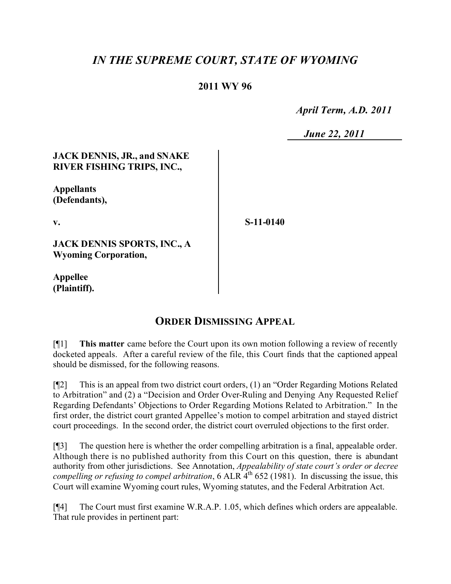## *IN THE SUPREME COURT, STATE OF WYOMING*

## **2011 WY 96**

 *April Term, A.D. 2011*

 *June 22, 2011*

## **JACK DENNIS, JR., and SNAKE RIVER FISHING TRIPS, INC.,**

**Appellants (Defendants),**

**v.**

**S-11-0140**

**JACK DENNIS SPORTS, INC., A Wyoming Corporation,**

**Appellee (Plaintiff).**

## **ORDER DISMISSING APPEAL**

[¶1] **This matter** came before the Court upon its own motion following a review of recently docketed appeals. After a careful review of the file, this Court finds that the captioned appeal should be dismissed, for the following reasons.

[¶2] This is an appeal from two district court orders, (1) an "Order Regarding Motions Related to Arbitration" and (2) a "Decision and Order Over-Ruling and Denying Any Requested Relief Regarding Defendants' Objections to Order Regarding Motions Related to Arbitration." In the first order, the district court granted Appellee's motion to compel arbitration and stayed district court proceedings. In the second order, the district court overruled objections to the first order.

[¶3] The question here is whether the order compelling arbitration is a final, appealable order. Although there is no published authority from this Court on this question, there is abundant authority from other jurisdictions. See Annotation, *Appealability of state court's order or decree compelling or refusing to compel arbitration*, 6 ALR 4<sup>th</sup> 652 (1981). In discussing the issue, this Court will examine Wyoming court rules, Wyoming statutes, and the Federal Arbitration Act.

[¶4] The Court must first examine W.R.A.P. 1.05, which defines which orders are appealable. That rule provides in pertinent part: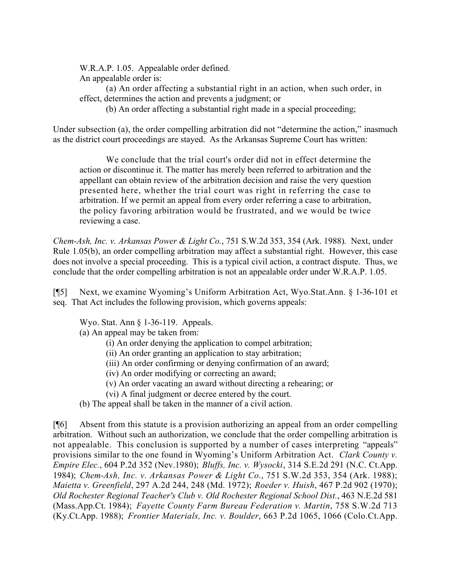W.R.A.P. 1.05. Appealable order defined. An appealable order is:

(a) An order affecting a substantial right in an action, when such order, in effect, determines the action and prevents a judgment; or

(b) An order affecting a substantial right made in a special proceeding;

Under subsection (a), the order compelling arbitration did not "determine the action," inasmuch as the district court proceedings are stayed. As the Arkansas Supreme Court has written:

We conclude that the trial court's order did not in effect determine the action or discontinue it. The matter has merely been referred to arbitration and the appellant can obtain review of the arbitration decision and raise the very question presented here, whether the trial court was right in referring the case to arbitration. If we permit an appeal from every order referring a case to arbitration, the policy favoring arbitration would be frustrated, and we would be twice reviewing a case.

*Chem-Ash, Inc. v. Arkansas Power & Light Co.*, 751 S.W.2d 353, 354 (Ark. 1988). Next, under Rule 1.05(b), an order compelling arbitration may affect a substantial right. However, this case does not involve a special proceeding. This is a typical civil action, a contract dispute. Thus, we conclude that the order compelling arbitration is not an appealable order under W.R.A.P. 1.05.

[¶5] Next, we examine Wyoming's Uniform Arbitration Act, Wyo.Stat.Ann. § 1-36-101 et seq. That Act includes the following provision, which governs appeals:

Wyo. Stat. Ann § 1-36-119. Appeals.

(a) An appeal may be taken from:

(i) An order denying the application to compel arbitration;

(ii) An order granting an application to stay arbitration;

(iii) An order confirming or denying confirmation of an award;

- (iv) An order modifying or correcting an award;
- (v) An order vacating an award without directing a rehearing; or

(vi) A final judgment or decree entered by the court.

(b) The appeal shall be taken in the manner of a civil action.

[¶6] Absent from this statute is a provision authorizing an appeal from an order compelling arbitration. Without such an authorization, we conclude that the order compelling arbitration is not appealable. This conclusion is supported by a number of cases interpreting "appeals" provisions similar to the one found in Wyoming's Uniform Arbitration Act. *Clark County v. Empire Elec.*, 604 P.2d 352 (Nev.1980); *Bluffs, Inc. v. Wysocki*, 314 S.E.2d 291 (N.C. Ct.App. 1984); *Chem-Ash, Inc. v. Arkansas Power & Light Co.*, 751 S.W.2d 353, 354 (Ark. 1988); *Maietta v. Greenfield*, 297 A.2d 244, 248 (Md. 1972); *Roeder v. Huish*, 467 P.2d 902 (1970); *Old Rochester Regional Teacher's Club v. Old Rochester Regional School Dist.*, 463 N.E.2d 581 (Mass.App.Ct. 1984); *Fayette County Farm Bureau Federation v. Martin*, 758 S.W.2d 713 (Ky.Ct.App. 1988); *Frontier Materials, Inc. v. Boulder*, 663 P.2d 1065, 1066 (Colo.Ct.App.